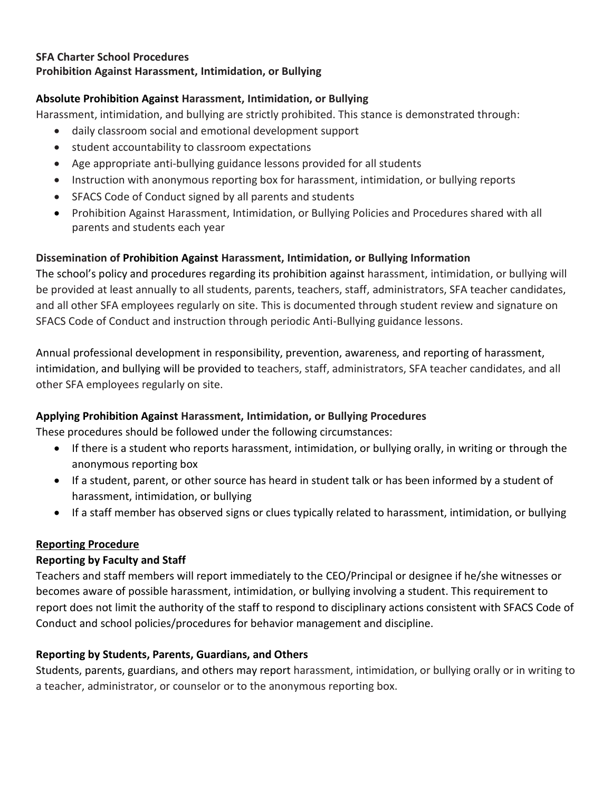#### **SFA Charter School Procedures**

## **Prohibition Against Harassment, Intimidation, or Bullying**

## **Absolute Prohibition Against Harassment, Intimidation, or Bullying**

Harassment, intimidation, and bullying are strictly prohibited. This stance is demonstrated through:

- daily classroom social and emotional development support
- student accountability to classroom expectations
- Age appropriate anti-bullying guidance lessons provided for all students
- Instruction with anonymous reporting box for harassment, intimidation, or bullying reports
- SFACS Code of Conduct signed by all parents and students
- Prohibition Against Harassment, Intimidation, or Bullying Policies and Procedures shared with all parents and students each year

# **Dissemination of Prohibition Against Harassment, Intimidation, or Bullying Information**

The school's policy and procedures regarding its prohibition against harassment, intimidation, or bullying will be provided at least annually to all students, parents, teachers, staff, administrators, SFA teacher candidates, and all other SFA employees regularly on site. This is documented through student review and signature on SFACS Code of Conduct and instruction through periodic Anti-Bullying guidance lessons.

Annual professional development in responsibility, prevention, awareness, and reporting of harassment, intimidation, and bullying will be provided to teachers, staff, administrators, SFA teacher candidates, and all other SFA employees regularly on site.

## **Applying Prohibition Against Harassment, Intimidation, or Bullying Procedures**

These procedures should be followed under the following circumstances:

- If there is a student who reports harassment, intimidation, or bullying orally, in writing or through the anonymous reporting box
- If a student, parent, or other source has heard in student talk or has been informed by a student of harassment, intimidation, or bullying
- If a staff member has observed signs or clues typically related to harassment, intimidation, or bullying

## **Reporting Procedure**

## **Reporting by Faculty and Staff**

Teachers and staff members will report immediately to the CEO/Principal or designee if he/she witnesses or becomes aware of possible harassment, intimidation, or bullying involving a student. This requirement to report does not limit the authority of the staff to respond to disciplinary actions consistent with SFACS Code of Conduct and school policies/procedures for behavior management and discipline.

## **Reporting by Students, Parents, Guardians, and Others**

Students, parents, guardians, and others may report harassment, intimidation, or bullying orally or in writing to a teacher, administrator, or counselor or to the anonymous reporting box.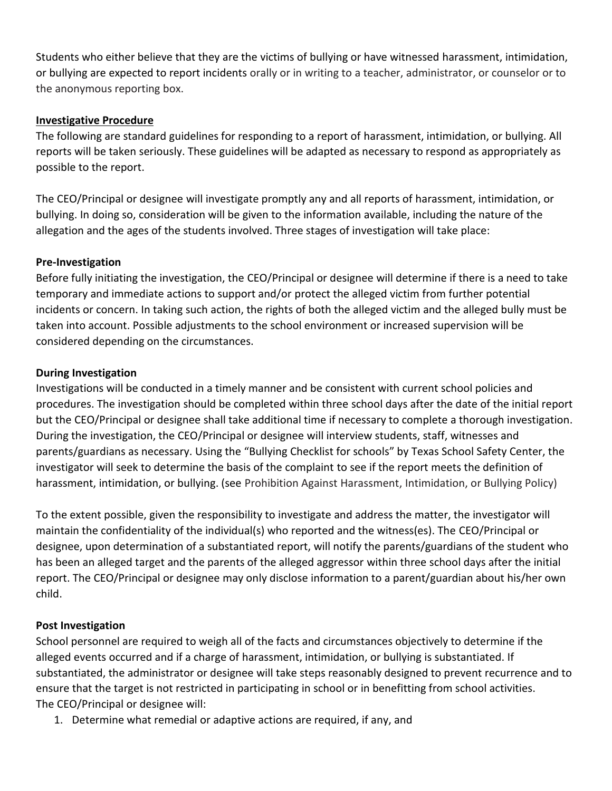Students who either believe that they are the victims of bullying or have witnessed harassment, intimidation, or bullying are expected to report incidents orally or in writing to a teacher, administrator, or counselor or to the anonymous reporting box.

#### **Investigative Procedure**

The following are standard guidelines for responding to a report of harassment, intimidation, or bullying. All reports will be taken seriously. These guidelines will be adapted as necessary to respond as appropriately as possible to the report.

The CEO/Principal or designee will investigate promptly any and all reports of harassment, intimidation, or bullying. In doing so, consideration will be given to the information available, including the nature of the allegation and the ages of the students involved. Three stages of investigation will take place:

#### **Pre-Investigation**

Before fully initiating the investigation, the CEO/Principal or designee will determine if there is a need to take temporary and immediate actions to support and/or protect the alleged victim from further potential incidents or concern. In taking such action, the rights of both the alleged victim and the alleged bully must be taken into account. Possible adjustments to the school environment or increased supervision will be considered depending on the circumstances.

#### **During Investigation**

Investigations will be conducted in a timely manner and be consistent with current school policies and procedures. The investigation should be completed within three school days after the date of the initial report but the CEO/Principal or designee shall take additional time if necessary to complete a thorough investigation. During the investigation, the CEO/Principal or designee will interview students, staff, witnesses and parents/guardians as necessary. Using the "Bullying Checklist for schools" by Texas School Safety Center, the investigator will seek to determine the basis of the complaint to see if the report meets the definition of harassment, intimidation, or bullying. (see Prohibition Against Harassment, Intimidation, or Bullying Policy)

To the extent possible, given the responsibility to investigate and address the matter, the investigator will maintain the confidentiality of the individual(s) who reported and the witness(es). The CEO/Principal or designee, upon determination of a substantiated report, will notify the parents/guardians of the student who has been an alleged target and the parents of the alleged aggressor within three school days after the initial report. The CEO/Principal or designee may only disclose information to a parent/guardian about his/her own child.

#### **Post Investigation**

School personnel are required to weigh all of the facts and circumstances objectively to determine if the alleged events occurred and if a charge of harassment, intimidation, or bullying is substantiated. If substantiated, the administrator or designee will take steps reasonably designed to prevent recurrence and to ensure that the target is not restricted in participating in school or in benefitting from school activities. The CEO/Principal or designee will:

1. Determine what remedial or adaptive actions are required, if any, and